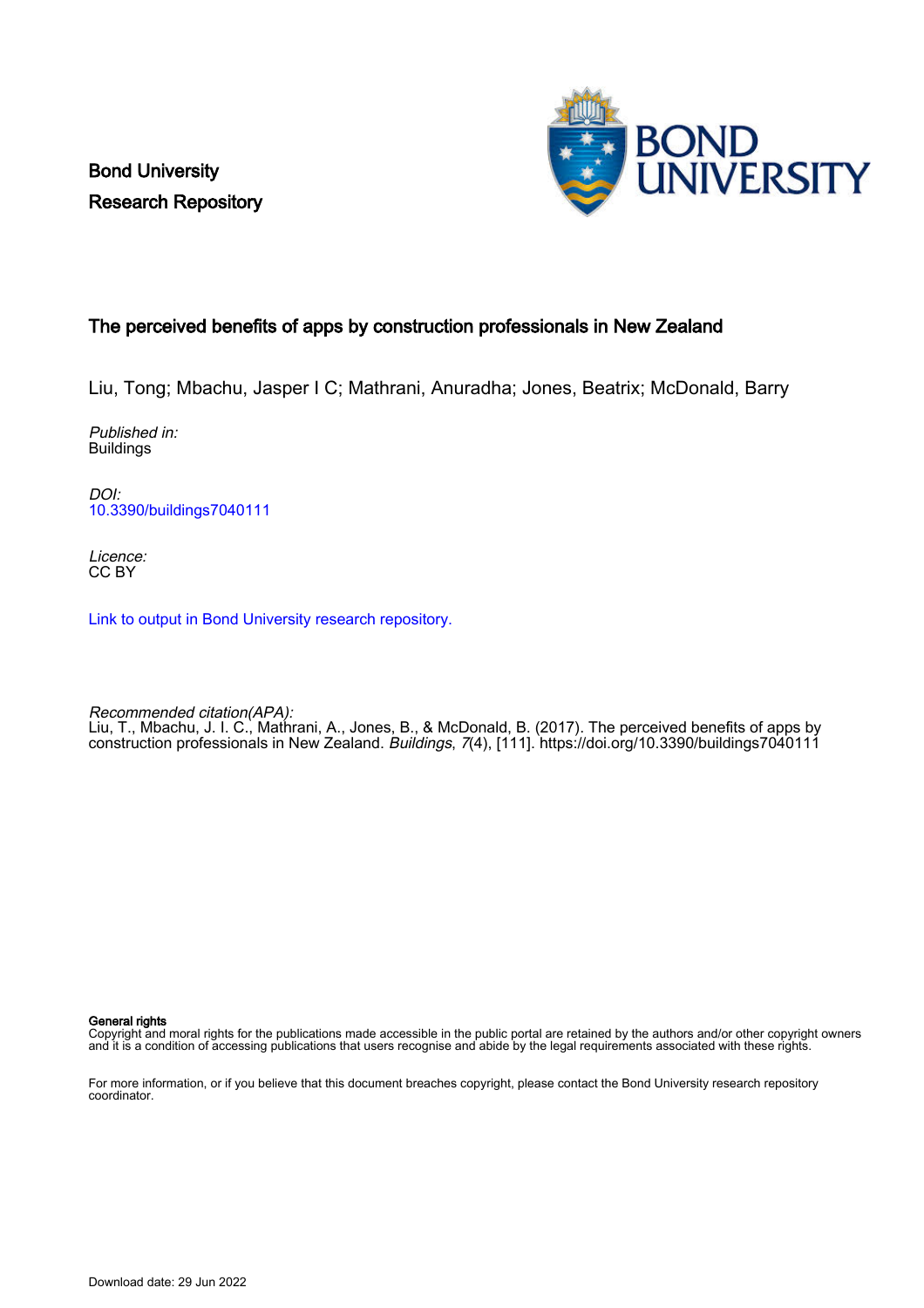Bond University Research Repository



# The perceived benefits of apps by construction professionals in New Zealand

Liu, Tong; Mbachu, Jasper I C; Mathrani, Anuradha; Jones, Beatrix; McDonald, Barry

Published in: Buildings

DOI: [10.3390/buildings7040111](https://doi.org/10.3390/buildings7040111)

Licence: CC BY

[Link to output in Bond University research repository.](https://research.bond.edu.au/en/publications/325b0d3e-b4c3-43c1-a7b4-1c555037693b)

Recommended citation(APA): Liu, T., Mbachu, J. I. C., Mathrani, A., Jones, B., & McDonald, B. (2017). The perceived benefits of apps by construction professionals in New Zealand. Buildings, 7(4), [111].<https://doi.org/10.3390/buildings7040111>

General rights

Copyright and moral rights for the publications made accessible in the public portal are retained by the authors and/or other copyright owners and it is a condition of accessing publications that users recognise and abide by the legal requirements associated with these rights.

For more information, or if you believe that this document breaches copyright, please contact the Bond University research repository coordinator.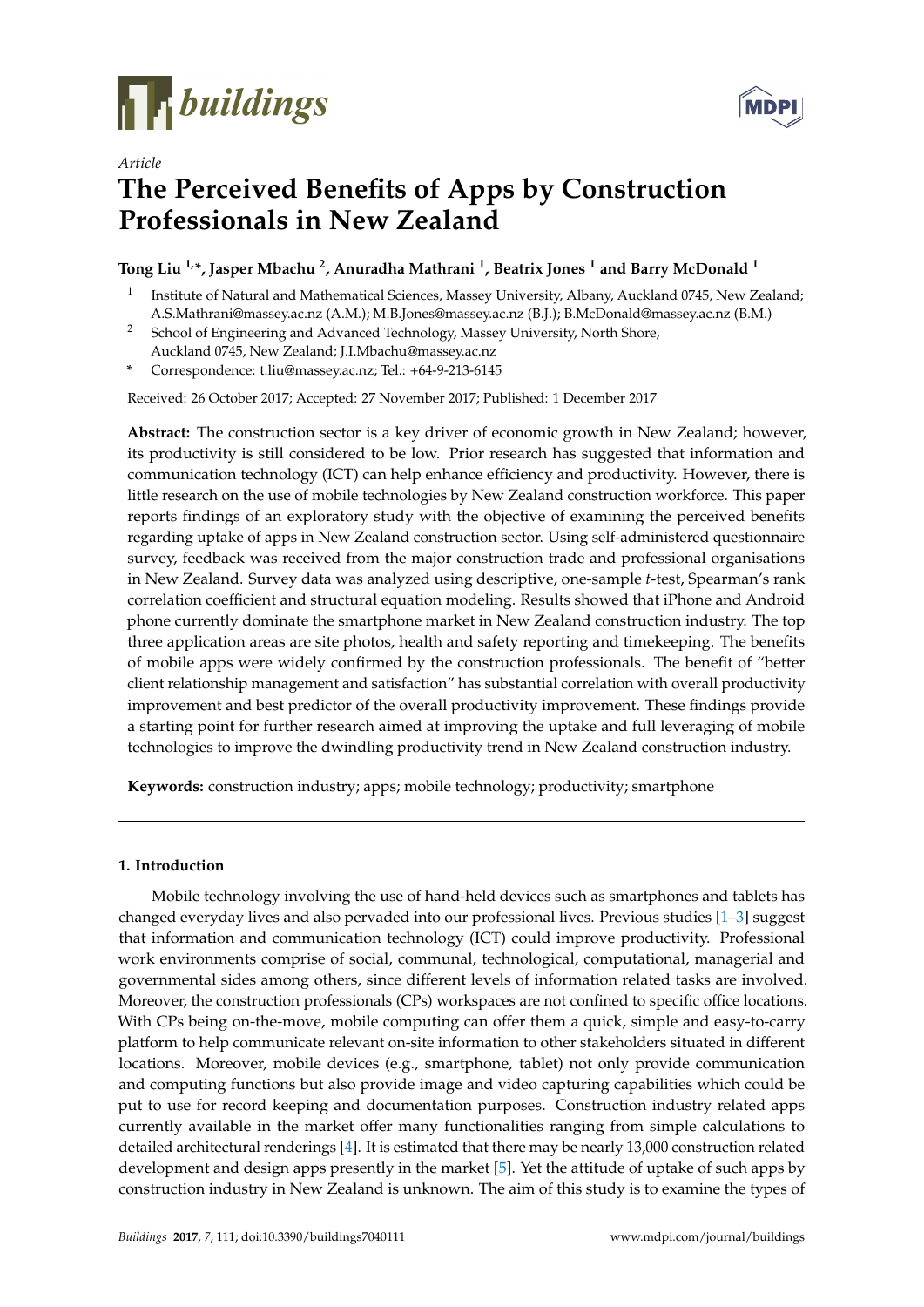

*Article*



# **The Perceived Benefits of Apps by Construction Professionals in New Zealand**

# **Tong Liu 1,\*, Jasper Mbachu <sup>2</sup> , Anuradha Mathrani <sup>1</sup> , Beatrix Jones <sup>1</sup> and Barry McDonald <sup>1</sup>**

- 1 Institute of Natural and Mathematical Sciences, Massey University, Albany, Auckland 0745, New Zealand; A.S.Mathrani@massey.ac.nz (A.M.); M.B.Jones@massey.ac.nz (B.J.); B.McDonald@massey.ac.nz (B.M.)
- <sup>2</sup> School of Engineering and Advanced Technology, Massey University, North Shore, Auckland 0745, New Zealand; J.I.Mbachu@massey.ac.nz
- **\*** Correspondence: t.liu@massey.ac.nz; Tel.: +64-9-213-6145

Received: 26 October 2017; Accepted: 27 November 2017; Published: 1 December 2017

**Abstract:** The construction sector is a key driver of economic growth in New Zealand; however, its productivity is still considered to be low. Prior research has suggested that information and communication technology (ICT) can help enhance efficiency and productivity. However, there is little research on the use of mobile technologies by New Zealand construction workforce. This paper reports findings of an exploratory study with the objective of examining the perceived benefits regarding uptake of apps in New Zealand construction sector. Using self-administered questionnaire survey, feedback was received from the major construction trade and professional organisations in New Zealand. Survey data was analyzed using descriptive, one-sample *t*-test, Spearman's rank correlation coefficient and structural equation modeling. Results showed that iPhone and Android phone currently dominate the smartphone market in New Zealand construction industry. The top three application areas are site photos, health and safety reporting and timekeeping. The benefits of mobile apps were widely confirmed by the construction professionals. The benefit of "better client relationship management and satisfaction" has substantial correlation with overall productivity improvement and best predictor of the overall productivity improvement. These findings provide a starting point for further research aimed at improving the uptake and full leveraging of mobile technologies to improve the dwindling productivity trend in New Zealand construction industry.

**Keywords:** construction industry; apps; mobile technology; productivity; smartphone

## **1. Introduction**

Mobile technology involving the use of hand-held devices such as smartphones and tablets has changed everyday lives and also pervaded into our professional lives. Previous studies [\[1–](#page-10-0)[3\]](#page-10-1) suggest that information and communication technology (ICT) could improve productivity. Professional work environments comprise of social, communal, technological, computational, managerial and governmental sides among others, since different levels of information related tasks are involved. Moreover, the construction professionals (CPs) workspaces are not confined to specific office locations. With CPs being on-the-move, mobile computing can offer them a quick, simple and easy-to-carry platform to help communicate relevant on-site information to other stakeholders situated in different locations. Moreover, mobile devices (e.g., smartphone, tablet) not only provide communication and computing functions but also provide image and video capturing capabilities which could be put to use for record keeping and documentation purposes. Construction industry related apps currently available in the market offer many functionalities ranging from simple calculations to detailed architectural renderings [\[4\]](#page-10-2). It is estimated that there may be nearly 13,000 construction related development and design apps presently in the market [\[5\]](#page-10-3). Yet the attitude of uptake of such apps by construction industry in New Zealand is unknown. The aim of this study is to examine the types of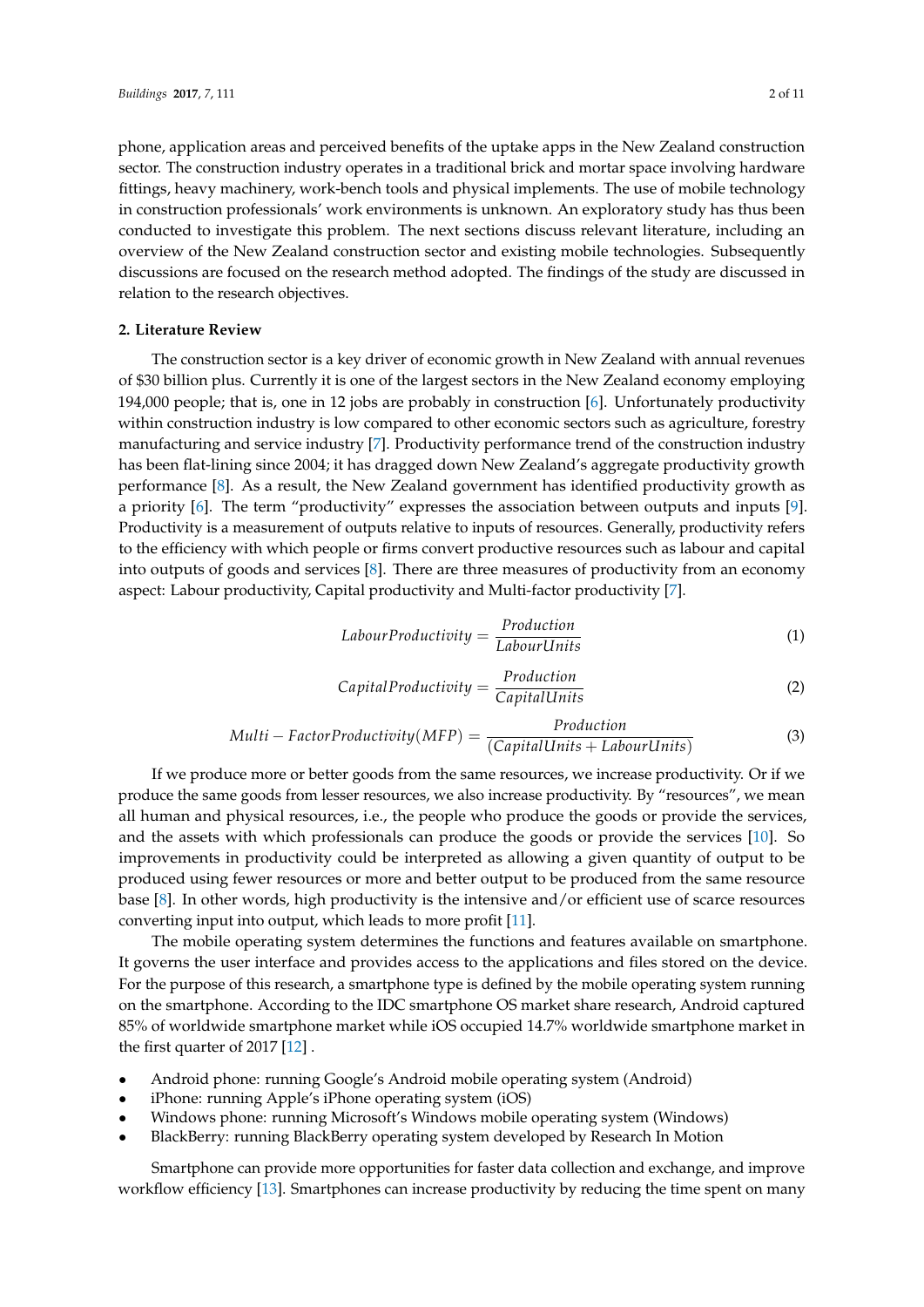phone, application areas and perceived benefits of the uptake apps in the New Zealand construction sector. The construction industry operates in a traditional brick and mortar space involving hardware fittings, heavy machinery, work-bench tools and physical implements. The use of mobile technology in construction professionals' work environments is unknown. An exploratory study has thus been conducted to investigate this problem. The next sections discuss relevant literature, including an overview of the New Zealand construction sector and existing mobile technologies. Subsequently discussions are focused on the research method adopted. The findings of the study are discussed in relation to the research objectives.

## **2. Literature Review**

The construction sector is a key driver of economic growth in New Zealand with annual revenues of \$30 billion plus. Currently it is one of the largest sectors in the New Zealand economy employing 194,000 people; that is, one in 12 jobs are probably in construction [\[6\]](#page-10-4). Unfortunately productivity within construction industry is low compared to other economic sectors such as agriculture, forestry manufacturing and service industry [\[7\]](#page-10-5). Productivity performance trend of the construction industry has been flat-lining since 2004; it has dragged down New Zealand's aggregate productivity growth performance [\[8\]](#page-10-6). As a result, the New Zealand government has identified productivity growth as a priority [\[6\]](#page-10-4). The term "productivity" expresses the association between outputs and inputs [\[9\]](#page-10-7). Productivity is a measurement of outputs relative to inputs of resources. Generally, productivity refers to the efficiency with which people or firms convert productive resources such as labour and capital into outputs of goods and services [\[8\]](#page-10-6). There are three measures of productivity from an economy aspect: Labour productivity, Capital productivity and Multi-factor productivity [\[7\]](#page-10-5).

$$
Labour Productivity = \frac{Production}{Labour Units}
$$
 (1)

$$
Capital Productivity = \frac{Production}{Capital Units}
$$
 (2)

$$
Multi-Factor Productivity(MFP) = \frac{Production}{(Capital Units + Laboratory Units)}
$$
\n(3)

If we produce more or better goods from the same resources, we increase productivity. Or if we produce the same goods from lesser resources, we also increase productivity. By "resources", we mean all human and physical resources, i.e., the people who produce the goods or provide the services, and the assets with which professionals can produce the goods or provide the services [\[10\]](#page-10-8). So improvements in productivity could be interpreted as allowing a given quantity of output to be produced using fewer resources or more and better output to be produced from the same resource base [\[8\]](#page-10-6). In other words, high productivity is the intensive and/or efficient use of scarce resources converting input into output, which leads to more profit [\[11\]](#page-10-9).

The mobile operating system determines the functions and features available on smartphone. It governs the user interface and provides access to the applications and files stored on the device. For the purpose of this research, a smartphone type is defined by the mobile operating system running on the smartphone. According to the IDC smartphone OS market share research, Android captured 85% of worldwide smartphone market while iOS occupied 14.7% worldwide smartphone market in the first quarter of 2017 [\[12\]](#page-10-10) .

- Android phone: running Google's Android mobile operating system (Android)
- iPhone: running Apple's iPhone operating system (iOS)
- Windows phone: running Microsoft's Windows mobile operating system (Windows)
- BlackBerry: running BlackBerry operating system developed by Research In Motion

Smartphone can provide more opportunities for faster data collection and exchange, and improve workflow efficiency [\[13\]](#page-10-11). Smartphones can increase productivity by reducing the time spent on many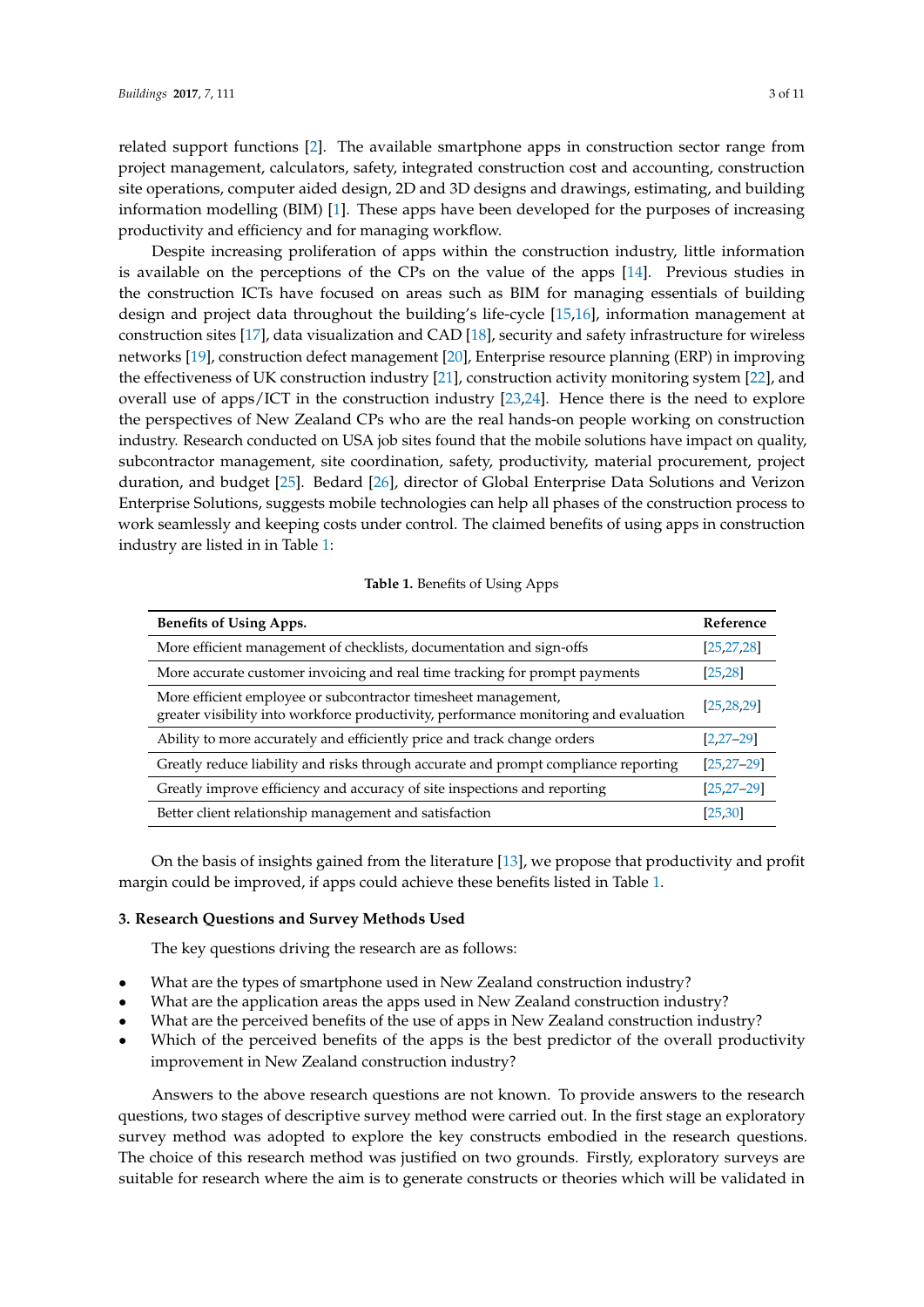related support functions [\[2\]](#page-10-12). The available smartphone apps in construction sector range from project management, calculators, safety, integrated construction cost and accounting, construction site operations, computer aided design, 2D and 3D designs and drawings, estimating, and building information modelling (BIM) [\[1\]](#page-10-0). These apps have been developed for the purposes of increasing productivity and efficiency and for managing workflow.

Despite increasing proliferation of apps within the construction industry, little information is available on the perceptions of the CPs on the value of the apps [\[14\]](#page-10-13). Previous studies in the construction ICTs have focused on areas such as BIM for managing essentials of building design and project data throughout the building's life-cycle [\[15,](#page-10-14)[16\]](#page-10-15), information management at construction sites [\[17\]](#page-10-16), data visualization and CAD [\[18\]](#page-10-17), security and safety infrastructure for wireless networks [\[19\]](#page-11-0), construction defect management [\[20\]](#page-11-1), Enterprise resource planning (ERP) in improving the effectiveness of UK construction industry [\[21\]](#page-11-2), construction activity monitoring system [\[22\]](#page-11-3), and overall use of apps/ICT in the construction industry [\[23](#page-11-4)[,24\]](#page-11-5). Hence there is the need to explore the perspectives of New Zealand CPs who are the real hands-on people working on construction industry. Research conducted on USA job sites found that the mobile solutions have impact on quality, subcontractor management, site coordination, safety, productivity, material procurement, project duration, and budget [\[25\]](#page-11-6). Bedard [\[26\]](#page-11-7), director of Global Enterprise Data Solutions and Verizon Enterprise Solutions, suggests mobile technologies can help all phases of the construction process to work seamlessly and keeping costs under control. The claimed benefits of using apps in construction industry are listed in in Table [1:](#page-3-0)

#### **Table 1.** Benefits of Using Apps

<span id="page-3-0"></span>

| <b>Benefits of Using Apps.</b>                                                                                                                          | Reference       |
|---------------------------------------------------------------------------------------------------------------------------------------------------------|-----------------|
| More efficient management of checklists, documentation and sign-offs                                                                                    | [25, 27, 28]    |
| More accurate customer invoicing and real time tracking for prompt payments                                                                             | [25, 28]        |
| More efficient employee or subcontractor timesheet management,<br>greater visibility into workforce productivity, performance monitoring and evaluation | [25, 28, 29]    |
| Ability to more accurately and efficiently price and track change orders                                                                                | $[2, 27 - 29]$  |
| Greatly reduce liability and risks through accurate and prompt compliance reporting                                                                     | $[25, 27 - 29]$ |
| Greatly improve efficiency and accuracy of site inspections and reporting                                                                               | $[25, 27 - 29]$ |
| Better client relationship management and satisfaction                                                                                                  | [25, 30]        |

On the basis of insights gained from the literature [\[13\]](#page-10-11), we propose that productivity and profit margin could be improved, if apps could achieve these benefits listed in Table [1.](#page-3-0)

# **3. Research Questions and Survey Methods Used**

The key questions driving the research are as follows:

- What are the types of smartphone used in New Zealand construction industry?
- What are the application areas the apps used in New Zealand construction industry?
- What are the perceived benefits of the use of apps in New Zealand construction industry?
- Which of the perceived benefits of the apps is the best predictor of the overall productivity improvement in New Zealand construction industry?

Answers to the above research questions are not known. To provide answers to the research questions, two stages of descriptive survey method were carried out. In the first stage an exploratory survey method was adopted to explore the key constructs embodied in the research questions. The choice of this research method was justified on two grounds. Firstly, exploratory surveys are suitable for research where the aim is to generate constructs or theories which will be validated in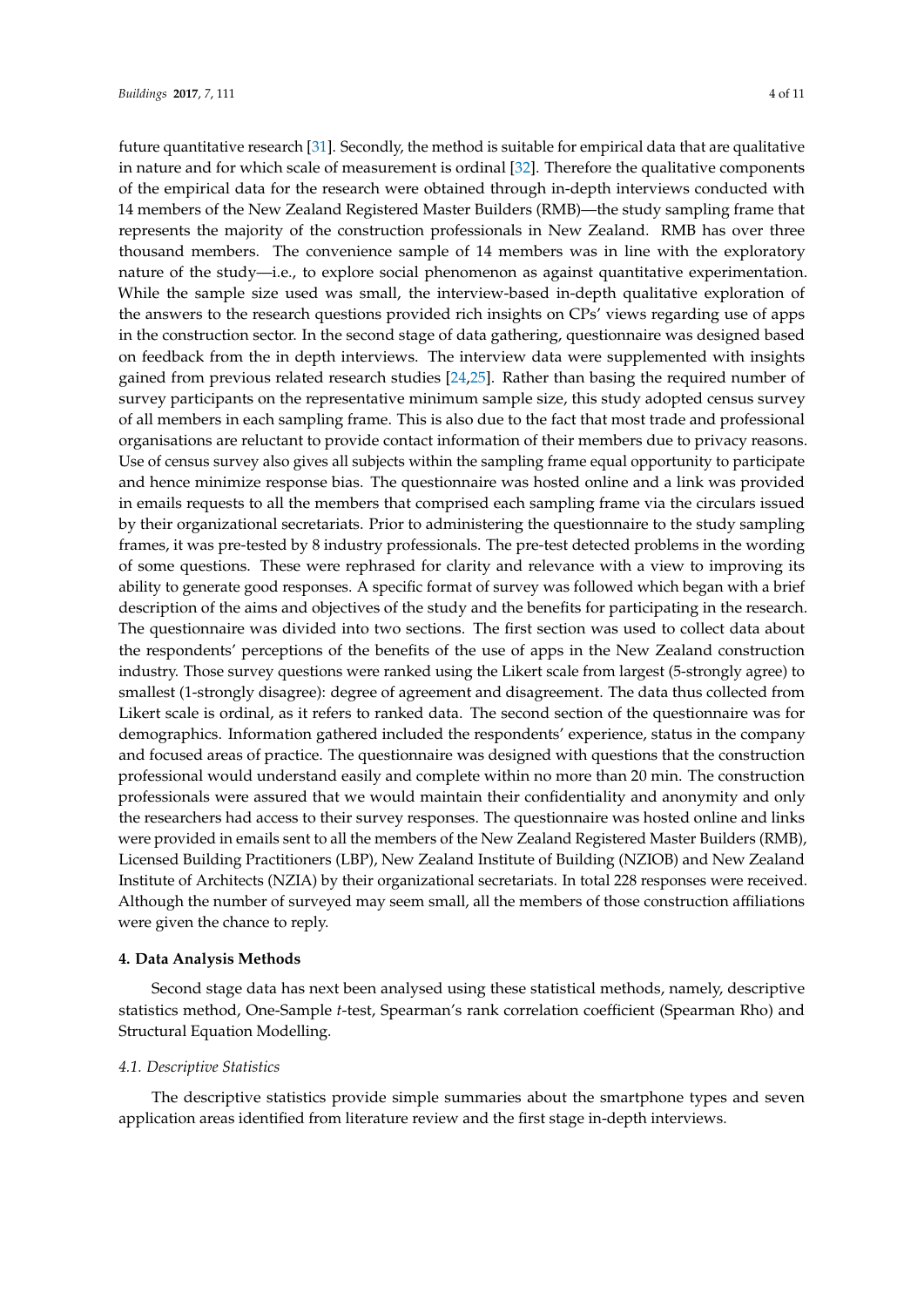future quantitative research [\[31\]](#page-11-12). Secondly, the method is suitable for empirical data that are qualitative in nature and for which scale of measurement is ordinal [\[32\]](#page-11-13). Therefore the qualitative components of the empirical data for the research were obtained through in-depth interviews conducted with 14 members of the New Zealand Registered Master Builders (RMB)—the study sampling frame that represents the majority of the construction professionals in New Zealand. RMB has over three thousand members. The convenience sample of 14 members was in line with the exploratory nature of the study—i.e., to explore social phenomenon as against quantitative experimentation. While the sample size used was small, the interview-based in-depth qualitative exploration of the answers to the research questions provided rich insights on CPs' views regarding use of apps in the construction sector. In the second stage of data gathering, questionnaire was designed based on feedback from the in depth interviews. The interview data were supplemented with insights gained from previous related research studies [\[24,](#page-11-5)[25\]](#page-11-6). Rather than basing the required number of survey participants on the representative minimum sample size, this study adopted census survey of all members in each sampling frame. This is also due to the fact that most trade and professional organisations are reluctant to provide contact information of their members due to privacy reasons. Use of census survey also gives all subjects within the sampling frame equal opportunity to participate and hence minimize response bias. The questionnaire was hosted online and a link was provided in emails requests to all the members that comprised each sampling frame via the circulars issued by their organizational secretariats. Prior to administering the questionnaire to the study sampling frames, it was pre-tested by 8 industry professionals. The pre-test detected problems in the wording of some questions. These were rephrased for clarity and relevance with a view to improving its ability to generate good responses. A specific format of survey was followed which began with a brief description of the aims and objectives of the study and the benefits for participating in the research. The questionnaire was divided into two sections. The first section was used to collect data about the respondents' perceptions of the benefits of the use of apps in the New Zealand construction industry. Those survey questions were ranked using the Likert scale from largest (5-strongly agree) to smallest (1-strongly disagree): degree of agreement and disagreement. The data thus collected from Likert scale is ordinal, as it refers to ranked data. The second section of the questionnaire was for demographics. Information gathered included the respondents' experience, status in the company and focused areas of practice. The questionnaire was designed with questions that the construction professional would understand easily and complete within no more than 20 min. The construction professionals were assured that we would maintain their confidentiality and anonymity and only the researchers had access to their survey responses. The questionnaire was hosted online and links were provided in emails sent to all the members of the New Zealand Registered Master Builders (RMB), Licensed Building Practitioners (LBP), New Zealand Institute of Building (NZIOB) and New Zealand Institute of Architects (NZIA) by their organizational secretariats. In total 228 responses were received. Although the number of surveyed may seem small, all the members of those construction affiliations were given the chance to reply.

#### **4. Data Analysis Methods**

Second stage data has next been analysed using these statistical methods, namely, descriptive statistics method, One-Sample *t*-test, Spearman's rank correlation coefficient (Spearman Rho) and Structural Equation Modelling.

#### *4.1. Descriptive Statistics*

The descriptive statistics provide simple summaries about the smartphone types and seven application areas identified from literature review and the first stage in-depth interviews.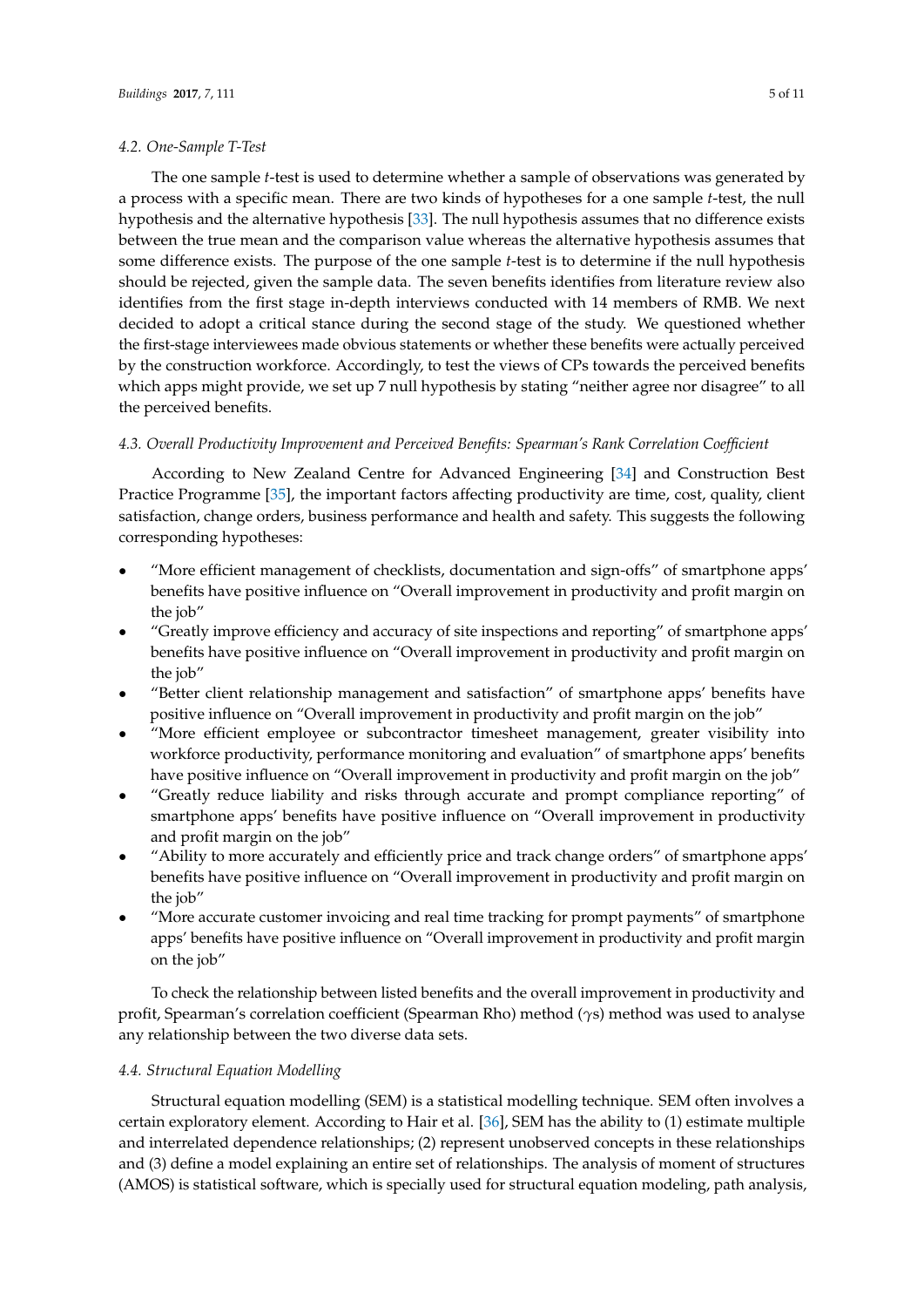#### *4.2. One-Sample T-Test*

The one sample *t*-test is used to determine whether a sample of observations was generated by a process with a specific mean. There are two kinds of hypotheses for a one sample *t*-test, the null hypothesis and the alternative hypothesis [\[33\]](#page-11-14). The null hypothesis assumes that no difference exists between the true mean and the comparison value whereas the alternative hypothesis assumes that some difference exists. The purpose of the one sample *t*-test is to determine if the null hypothesis should be rejected, given the sample data. The seven benefits identifies from literature review also identifies from the first stage in-depth interviews conducted with 14 members of RMB. We next decided to adopt a critical stance during the second stage of the study. We questioned whether the first-stage interviewees made obvious statements or whether these benefits were actually perceived by the construction workforce. Accordingly, to test the views of CPs towards the perceived benefits which apps might provide, we set up 7 null hypothesis by stating "neither agree nor disagree" to all the perceived benefits.

#### *4.3. Overall Productivity Improvement and Perceived Benefits: Spearman's Rank Correlation Coefficient*

According to New Zealand Centre for Advanced Engineering [\[34\]](#page-11-15) and Construction Best Practice Programme [\[35\]](#page-11-16), the important factors affecting productivity are time, cost, quality, client satisfaction, change orders, business performance and health and safety. This suggests the following corresponding hypotheses:

- "More efficient management of checklists, documentation and sign-offs" of smartphone apps' benefits have positive influence on "Overall improvement in productivity and profit margin on the job"
- "Greatly improve efficiency and accuracy of site inspections and reporting" of smartphone apps' benefits have positive influence on "Overall improvement in productivity and profit margin on the job"
- "Better client relationship management and satisfaction" of smartphone apps' benefits have positive influence on "Overall improvement in productivity and profit margin on the job"
- "More efficient employee or subcontractor timesheet management, greater visibility into workforce productivity, performance monitoring and evaluation" of smartphone apps' benefits have positive influence on "Overall improvement in productivity and profit margin on the job"
- "Greatly reduce liability and risks through accurate and prompt compliance reporting" of smartphone apps' benefits have positive influence on "Overall improvement in productivity and profit margin on the job"
- "Ability to more accurately and efficiently price and track change orders" of smartphone apps' benefits have positive influence on "Overall improvement in productivity and profit margin on the job"
- "More accurate customer invoicing and real time tracking for prompt payments" of smartphone apps' benefits have positive influence on "Overall improvement in productivity and profit margin on the job"

To check the relationship between listed benefits and the overall improvement in productivity and profit, Spearman's correlation coefficient (Spearman Rho) method (*γ*s) method was used to analyse any relationship between the two diverse data sets.

#### *4.4. Structural Equation Modelling*

Structural equation modelling (SEM) is a statistical modelling technique. SEM often involves a certain exploratory element. According to Hair et al. [\[36\]](#page-11-17), SEM has the ability to (1) estimate multiple and interrelated dependence relationships; (2) represent unobserved concepts in these relationships and (3) define a model explaining an entire set of relationships. The analysis of moment of structures (AMOS) is statistical software, which is specially used for structural equation modeling, path analysis,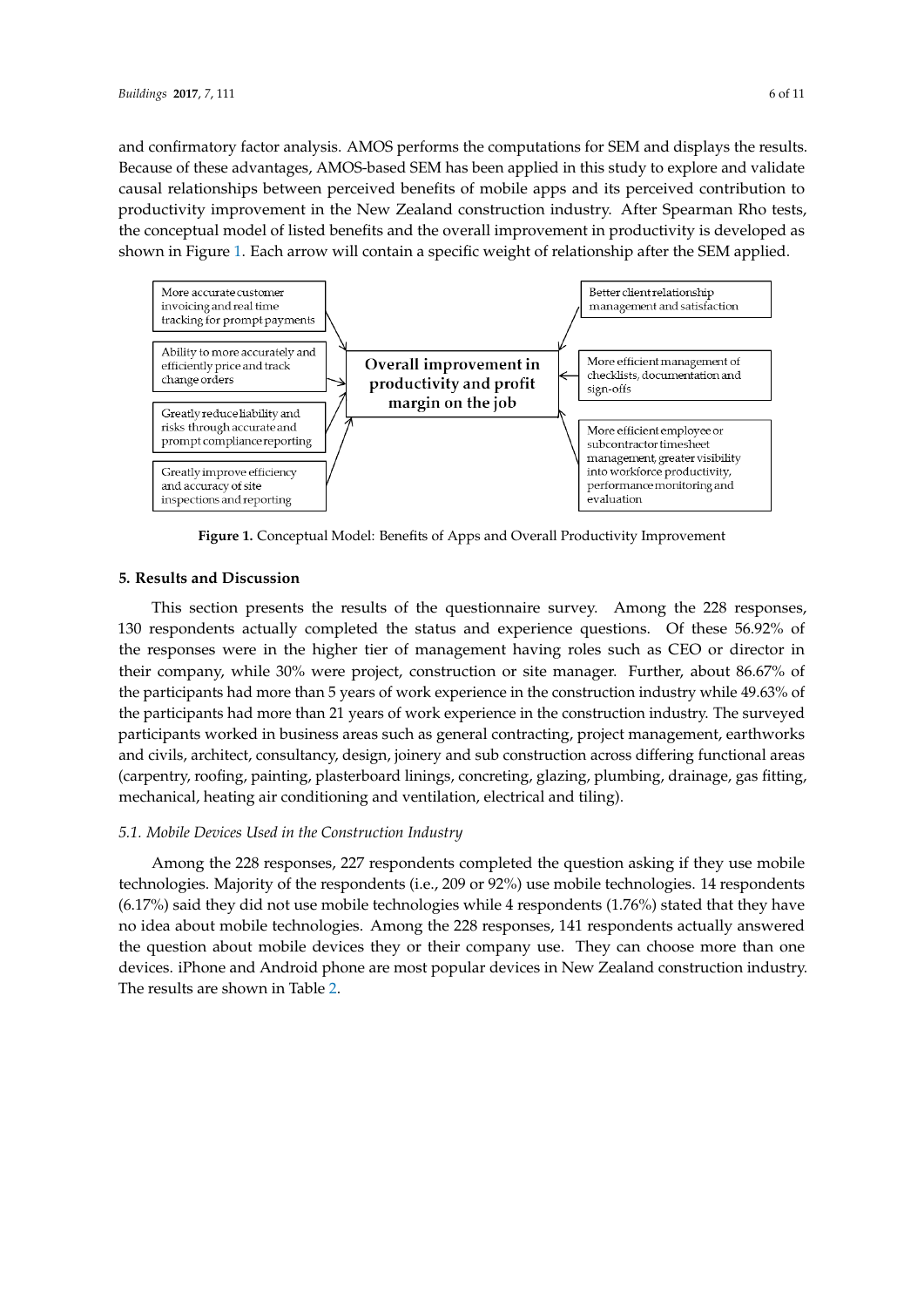and confirmatory factor analysis. AMOS performs the computations for SEM and displays the results. Because of these advantages, AMOS-based SEM has been applied in this study to explore and validate causal relationships between perceived benefits of mobile apps and its perceived contribution to productivity improvement in the New Zealand construction industry. After Spearman Rho tests, the conceptual model of listed benefits and the overall improvement in productivity is developed as shown in Figure [1.](#page-6-0) Each arrow will contain a specific weight of relationship after the SEM applied.

<span id="page-6-0"></span>

**Figure 1.** Conceptual Model: Benefits of Apps and Overall Productivity Improvement

#### **5. Results and Discussion**

This section presents the results of the questionnaire survey. Among the 228 responses, 130 respondents actually completed the status and experience questions. Of these 56.92% of the responses were in the higher tier of management having roles such as CEO or director in their company, while 30% were project, construction or site manager. Further, about 86.67% of the participants had more than 5 years of work experience in the construction industry while 49.63% of the participants had more than 21 years of work experience in the construction industry. The surveyed participants worked in business areas such as general contracting, project management, earthworks and civils, architect, consultancy, design, joinery and sub construction across differing functional areas (carpentry, roofing, painting, plasterboard linings, concreting, glazing, plumbing, drainage, gas fitting, mechanical, heating air conditioning and ventilation, electrical and tiling).

#### *5.1. Mobile Devices Used in the Construction Industry*

Among the 228 responses, 227 respondents completed the question asking if they use mobile technologies. Majority of the respondents (i.e., 209 or 92%) use mobile technologies. 14 respondents (6.17%) said they did not use mobile technologies while 4 respondents (1.76%) stated that they have no idea about mobile technologies. Among the 228 responses, 141 respondents actually answered the question about mobile devices they or their company use. They can choose more than one devices. iPhone and Android phone are most popular devices in New Zealand construction industry. The results are shown in Table [2.](#page-7-0)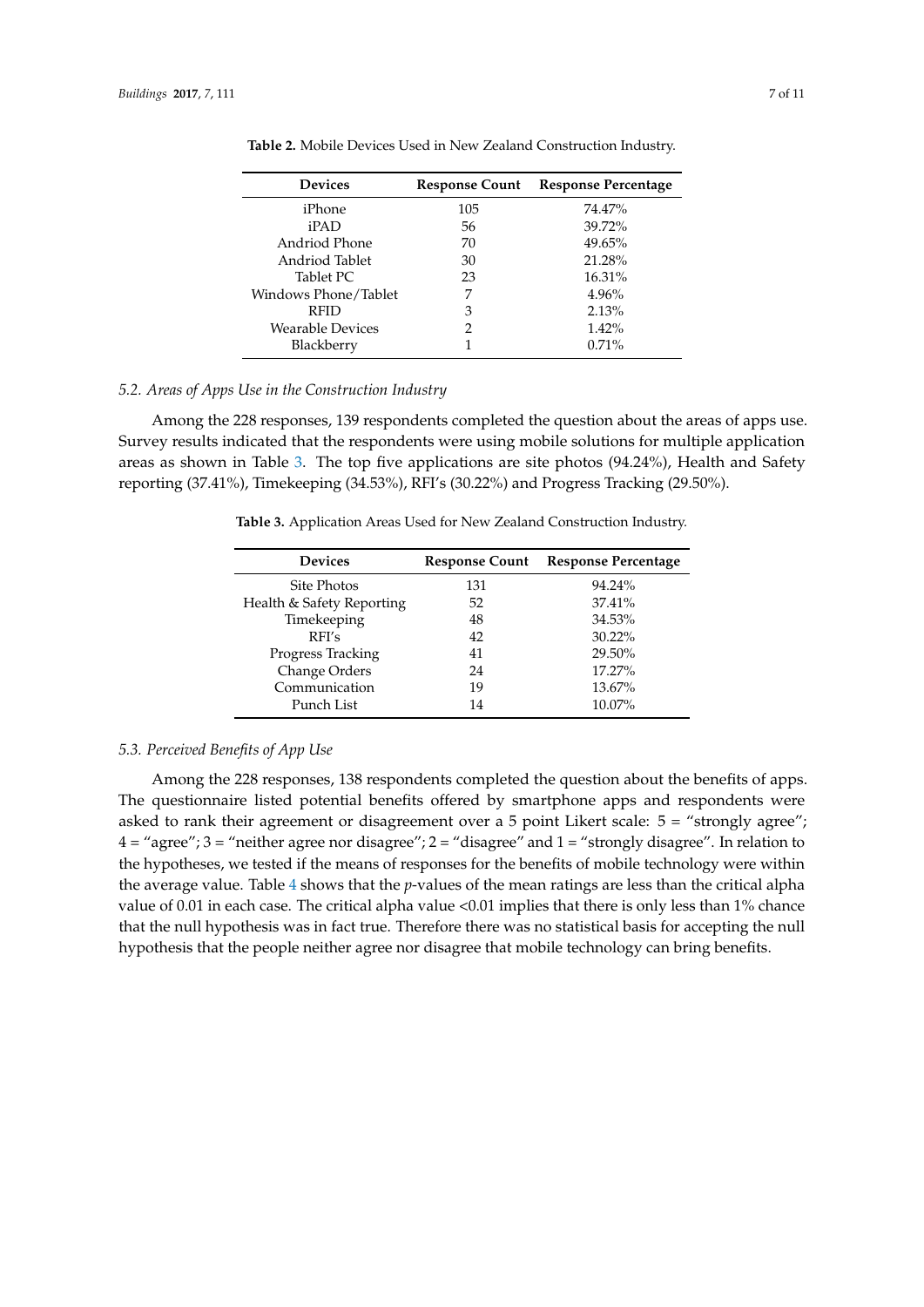| <b>Response Count</b> | <b>Response Percentage</b> |
|-----------------------|----------------------------|
| 105                   | 74.47%                     |
| 56                    | 39.72%                     |
| 70                    | 49.65%                     |
| 30                    | 21.28%                     |
| 23                    | 16.31%                     |
| 7                     | 4.96%                      |
| 3                     | 2.13%                      |
| 2                     | 1.42%                      |
|                       | 0.71%                      |
|                       |                            |

<span id="page-7-0"></span>**Table 2.** Mobile Devices Used in New Zealand Construction Industry.

#### *5.2. Areas of Apps Use in the Construction Industry*

<span id="page-7-1"></span>Among the 228 responses, 139 respondents completed the question about the areas of apps use. Survey results indicated that the respondents were using mobile solutions for multiple application areas as shown in Table [3.](#page-7-1) The top five applications are site photos (94.24%), Health and Safety reporting (37.41%), Timekeeping (34.53%), RFI's (30.22%) and Progress Tracking (29.50%).

**Table 3.** Application Areas Used for New Zealand Construction Industry.

| <b>Devices</b>            | <b>Response Count</b> | <b>Response Percentage</b> |  |  |
|---------------------------|-----------------------|----------------------------|--|--|
| Site Photos               | 131                   | 94.24%                     |  |  |
| Health & Safety Reporting | 52                    | 37.41%                     |  |  |
| Timekeeping               | 48                    | 34.53%                     |  |  |
| RFI's                     | 42                    | $30.22\%$                  |  |  |
| Progress Tracking         | 41                    | 29.50%                     |  |  |
| Change Orders             | 24                    | $17.27\%$                  |  |  |
| Communication             | 19                    | 13.67%                     |  |  |
| Punch List                | 14                    | 10.07%                     |  |  |

#### *5.3. Perceived Benefits of App Use*

Among the 228 responses, 138 respondents completed the question about the benefits of apps. The questionnaire listed potential benefits offered by smartphone apps and respondents were asked to rank their agreement or disagreement over a 5 point Likert scale: 5 = "strongly agree";  $4 =$  "agree";  $3 =$  "neither agree nor disagree";  $2 =$  "disagree" and  $1 =$  "strongly disagree". In relation to the hypotheses, we tested if the means of responses for the benefits of mobile technology were within the average value. Table [4](#page-8-0) shows that the *p*-values of the mean ratings are less than the critical alpha value of 0.01 in each case. The critical alpha value <0.01 implies that there is only less than 1% chance that the null hypothesis was in fact true. Therefore there was no statistical basis for accepting the null hypothesis that the people neither agree nor disagree that mobile technology can bring benefits.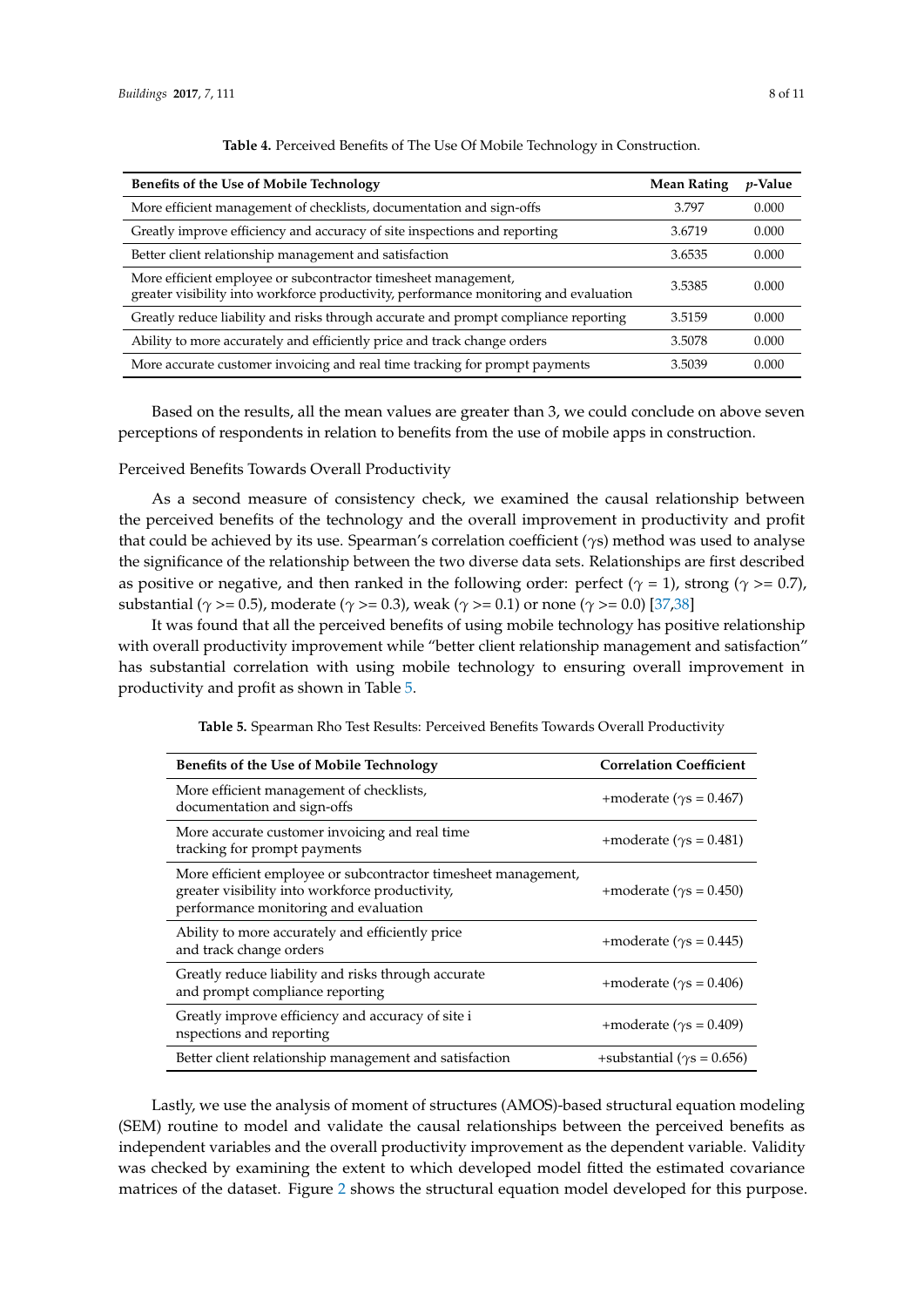<span id="page-8-0"></span>

| Benefits of the Use of Mobile Technology                                                                                                                | <b>Mean Rating</b> | <i>p</i> -Value |
|---------------------------------------------------------------------------------------------------------------------------------------------------------|--------------------|-----------------|
| More efficient management of checklists, documentation and sign-offs                                                                                    | 3.797              | 0.000           |
| Greatly improve efficiency and accuracy of site inspections and reporting                                                                               | 3.6719             | 0.000           |
| Better client relationship management and satisfaction                                                                                                  | 3.6535             | 0.000           |
| More efficient employee or subcontractor timesheet management,<br>greater visibility into workforce productivity, performance monitoring and evaluation | 3.5385             | 0.000           |
| Greatly reduce liability and risks through accurate and prompt compliance reporting                                                                     | 3.5159             | 0.000           |
| Ability to more accurately and efficiently price and track change orders                                                                                | 3.5078             | 0.000           |
| More accurate customer invoicing and real time tracking for prompt payments                                                                             | 3.5039             | 0.000           |

**Table 4.** Perceived Benefits of The Use Of Mobile Technology in Construction.

Based on the results, all the mean values are greater than 3, we could conclude on above seven perceptions of respondents in relation to benefits from the use of mobile apps in construction.

Perceived Benefits Towards Overall Productivity

As a second measure of consistency check, we examined the causal relationship between the perceived benefits of the technology and the overall improvement in productivity and profit that could be achieved by its use. Spearman's correlation coefficient (*γ*s) method was used to analyse the significance of the relationship between the two diverse data sets. Relationships are first described as positive or negative, and then ranked in the following order: perfect ( $\gamma = 1$ ), strong ( $\gamma = 0.7$ ), substantial (*γ* >= 0.5), moderate (*γ* >= 0.3), weak (*γ* >= 0.1) or none (*γ* >= 0.0) [\[37](#page-11-18)[,38\]](#page-11-19)

It was found that all the perceived benefits of using mobile technology has positive relationship with overall productivity improvement while "better client relationship management and satisfaction" has substantial correlation with using mobile technology to ensuring overall improvement in productivity and profit as shown in Table [5.](#page-8-1)

<span id="page-8-1"></span>

| <b>Benefits of the Use of Mobile Technology</b>                                                                                                            | <b>Correlation Coefficient</b>      |
|------------------------------------------------------------------------------------------------------------------------------------------------------------|-------------------------------------|
| More efficient management of checklists,<br>documentation and sign-offs                                                                                    | +moderate ( $\gamma s = 0.467$ )    |
| More accurate customer invoicing and real time<br>tracking for prompt payments                                                                             | +moderate ( $\gamma s = 0.481$ )    |
| More efficient employee or subcontractor timesheet management,<br>greater visibility into workforce productivity,<br>performance monitoring and evaluation | +moderate ( $\gamma s = 0.450$ )    |
| Ability to more accurately and efficiently price<br>and track change orders                                                                                | +moderate ( $\gamma s = 0.445$ )    |
| Greatly reduce liability and risks through accurate<br>and prompt compliance reporting                                                                     | +moderate ( $\gamma s = 0.406$ )    |
| Greatly improve efficiency and accuracy of site i<br>nspections and reporting                                                                              | +moderate ( $\gamma s = 0.409$ )    |
| Better client relationship management and satisfaction                                                                                                     | +substantial ( $\gamma s = 0.656$ ) |

**Table 5.** Spearman Rho Test Results: Perceived Benefits Towards Overall Productivity

Lastly, we use the analysis of moment of structures (AMOS)-based structural equation modeling (SEM) routine to model and validate the causal relationships between the perceived benefits as independent variables and the overall productivity improvement as the dependent variable. Validity was checked by examining the extent to which developed model fitted the estimated covariance matrices of the dataset. Figure [2](#page-9-0) shows the structural equation model developed for this purpose.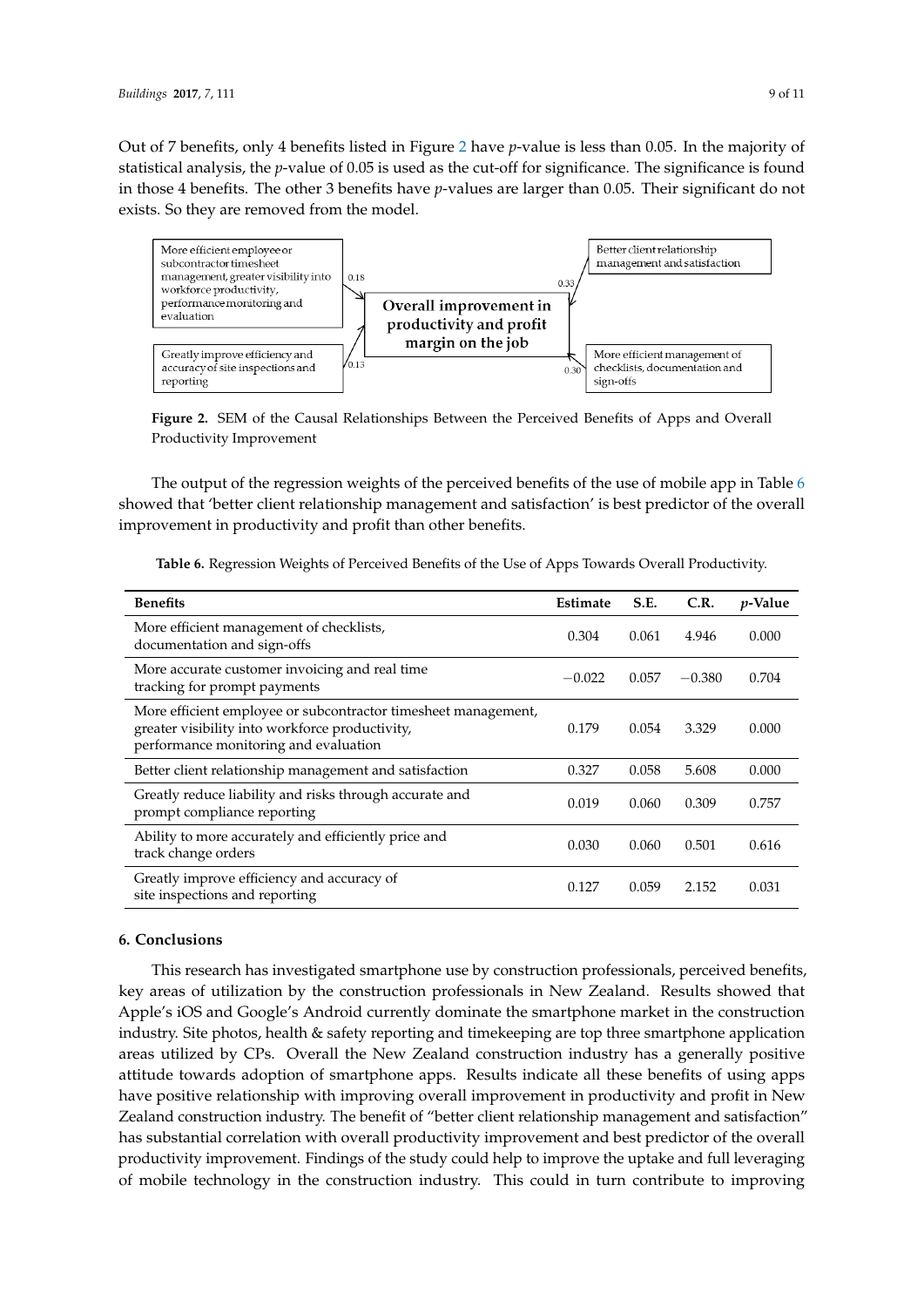Out of 7 benefits, only 4 benefits listed in Figure [2](#page-9-0) have *p*-value is less than 0.05. In the majority of statistical analysis, the *p*-value of 0.05 is used as the cut-off for significance. The significance is found in those 4 benefits. The other 3 benefits have *p*-values are larger than 0.05. Their significant do not exists. So they are removed from the model.

<span id="page-9-0"></span>

**Figure 2.** SEM of the Causal Relationships Between the Perceived Benefits of Apps and Overall Productivity Improvement

The output of the regression weights of the perceived benefits of the use of mobile app in Table [6](#page-9-1) showed that 'better client relationship management and satisfaction' is best predictor of the overall improvement in productivity and profit than other benefits.

| <b>Benefits</b>                                                                                                                                            | Estimate | S.E.  | C.R.     | <i>p</i> -Value |
|------------------------------------------------------------------------------------------------------------------------------------------------------------|----------|-------|----------|-----------------|
| More efficient management of checklists,<br>documentation and sign-offs                                                                                    | 0.304    | 0.061 | 4.946    | 0.000           |
| More accurate customer invoicing and real time<br>tracking for prompt payments                                                                             | $-0.022$ | 0.057 | $-0.380$ | 0.704           |
| More efficient employee or subcontractor timesheet management,<br>greater visibility into workforce productivity,<br>performance monitoring and evaluation | 0.179    | 0.054 | 3.329    | 0.000           |
| Better client relationship management and satisfaction                                                                                                     | 0.327    | 0.058 | 5.608    | 0.000           |
| Greatly reduce liability and risks through accurate and<br>prompt compliance reporting                                                                     | 0.019    | 0.060 | 0.309    | 0.757           |
| Ability to more accurately and efficiently price and<br>track change orders                                                                                | 0.030    | 0.060 | 0.501    | 0.616           |
| Greatly improve efficiency and accuracy of<br>site inspections and reporting                                                                               | 0.127    | 0.059 | 2.152    | 0.031           |

<span id="page-9-1"></span>**Table 6.** Regression Weights of Perceived Benefits of the Use of Apps Towards Overall Productivity.

#### **6. Conclusions**

This research has investigated smartphone use by construction professionals, perceived benefits, key areas of utilization by the construction professionals in New Zealand. Results showed that Apple's iOS and Google's Android currently dominate the smartphone market in the construction industry. Site photos, health & safety reporting and timekeeping are top three smartphone application areas utilized by CPs. Overall the New Zealand construction industry has a generally positive attitude towards adoption of smartphone apps. Results indicate all these benefits of using apps have positive relationship with improving overall improvement in productivity and profit in New Zealand construction industry. The benefit of "better client relationship management and satisfaction" has substantial correlation with overall productivity improvement and best predictor of the overall productivity improvement. Findings of the study could help to improve the uptake and full leveraging of mobile technology in the construction industry. This could in turn contribute to improving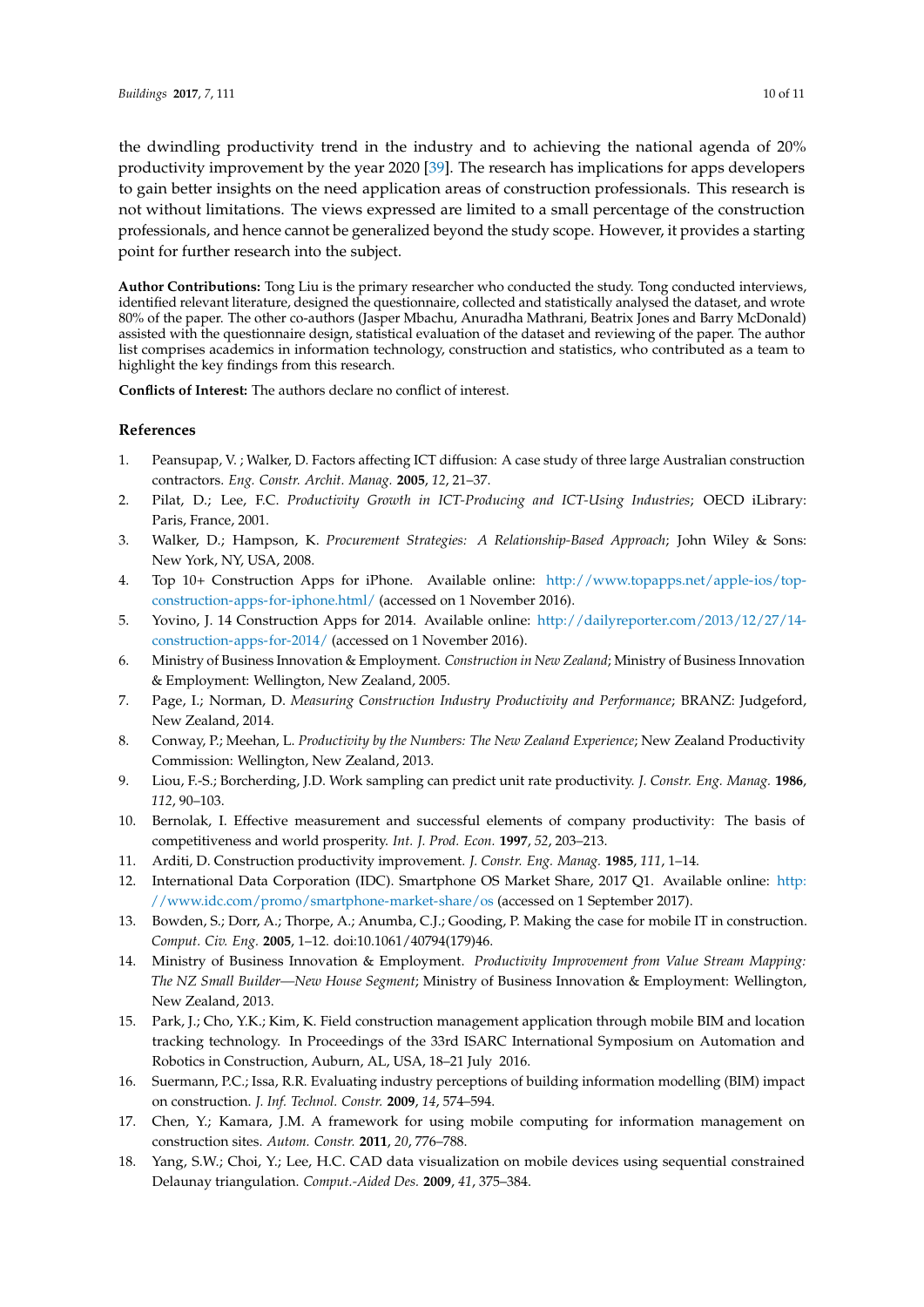the dwindling productivity trend in the industry and to achieving the national agenda of 20% productivity improvement by the year 2020 [\[39\]](#page-11-20). The research has implications for apps developers to gain better insights on the need application areas of construction professionals. This research is not without limitations. The views expressed are limited to a small percentage of the construction professionals, and hence cannot be generalized beyond the study scope. However, it provides a starting point for further research into the subject.

**Author Contributions:** Tong Liu is the primary researcher who conducted the study. Tong conducted interviews, identified relevant literature, designed the questionnaire, collected and statistically analysed the dataset, and wrote 80% of the paper. The other co-authors (Jasper Mbachu, Anuradha Mathrani, Beatrix Jones and Barry McDonald) assisted with the questionnaire design, statistical evaluation of the dataset and reviewing of the paper. The author list comprises academics in information technology, construction and statistics, who contributed as a team to highlight the key findings from this research.

**Conflicts of Interest:** The authors declare no conflict of interest.

## **References**

- <span id="page-10-0"></span>1. Peansupap, V. ; Walker, D. Factors affecting ICT diffusion: A case study of three large Australian construction contractors. *Eng. Constr. Archit. Manag.* **2005**, *12*, 21–37.
- <span id="page-10-12"></span>2. Pilat, D.; Lee, F.C. *Productivity Growth in ICT-Producing and ICT-Using Industries*; OECD iLibrary: Paris, France, 2001.
- <span id="page-10-1"></span>3. Walker, D.; Hampson, K. *Procurement Strategies: A Relationship-Based Approach*; John Wiley & Sons: New York, NY, USA, 2008.
- <span id="page-10-2"></span>4. Top 10+ Construction Apps for iPhone. Available online: [http://www.topapps.net/apple-ios/top](http://www.topapps.net/apple-ios/top-construction-apps-for-iphone.html/)[construction-apps-for-iphone.html/](http://www.topapps.net/apple-ios/top-construction-apps-for-iphone.html/) (accessed on 1 November 2016).
- <span id="page-10-3"></span>5. Yovino, J. 14 Construction Apps for 2014. Available online: [http://dailyreporter.com/2013/12/27/14](http://dailyreporter.com/2013/12/27/14-construction-apps-for-2014/) [construction-apps-for-2014/](http://dailyreporter.com/2013/12/27/14-construction-apps-for-2014/) (accessed on 1 November 2016).
- <span id="page-10-4"></span>6. Ministry of Business Innovation & Employment. *Construction in New Zealand*; Ministry of Business Innovation & Employment: Wellington, New Zealand, 2005.
- <span id="page-10-5"></span>7. Page, I.; Norman, D. *Measuring Construction Industry Productivity and Performance*; BRANZ: Judgeford, New Zealand, 2014.
- <span id="page-10-6"></span>8. Conway, P.; Meehan, L. *Productivity by the Numbers: The New Zealand Experience*; New Zealand Productivity Commission: Wellington, New Zealand, 2013.
- <span id="page-10-7"></span>9. Liou, F.-S.; Borcherding, J.D. Work sampling can predict unit rate productivity. *J. Constr. Eng. Manag.* **1986**, *112*, 90–103.
- <span id="page-10-8"></span>10. Bernolak, I. Effective measurement and successful elements of company productivity: The basis of competitiveness and world prosperity. *Int. J. Prod. Econ.* **1997**, *52*, 203–213.
- <span id="page-10-9"></span>11. Arditi, D. Construction productivity improvement. *J. Constr. Eng. Manag.* **1985**, *111*, 1–14.
- <span id="page-10-10"></span>12. International Data Corporation (IDC). Smartphone OS Market Share, 2017 Q1. Available online: [http:](http://www.idc.com/promo/smartphone-market-share/os) [//www.idc.com/promo/smartphone-market-share/os](http://www.idc.com/promo/smartphone-market-share/os) (accessed on 1 September 2017).
- <span id="page-10-11"></span>13. Bowden, S.; Dorr, A.; Thorpe, A.; Anumba, C.J.; Gooding, P. Making the case for mobile IT in construction. *Comput. Civ. Eng.* **2005**, 1–12. doi:10.1061/40794(179)46.
- <span id="page-10-13"></span>14. Ministry of Business Innovation & Employment. *Productivity Improvement from Value Stream Mapping: The NZ Small Builder—New House Segment*; Ministry of Business Innovation & Employment: Wellington, New Zealand, 2013.
- <span id="page-10-14"></span>15. Park, J.; Cho, Y.K.; Kim, K. Field construction management application through mobile BIM and location tracking technology. In Proceedings of the 33rd ISARC International Symposium on Automation and Robotics in Construction, Auburn, AL, USA, 18–21 July 2016.
- <span id="page-10-15"></span>16. Suermann, P.C.; Issa, R.R. Evaluating industry perceptions of building information modelling (BIM) impact on construction. *J. Inf. Technol. Constr.* **2009**, *14*, 574–594.
- <span id="page-10-16"></span>17. Chen, Y.; Kamara, J.M. A framework for using mobile computing for information management on construction sites. *Autom. Constr.* **2011**, *20*, 776–788.
- <span id="page-10-17"></span>18. Yang, S.W.; Choi, Y.; Lee, H.C. CAD data visualization on mobile devices using sequential constrained Delaunay triangulation. *Comput.-Aided Des.* **2009**, *41*, 375–384.